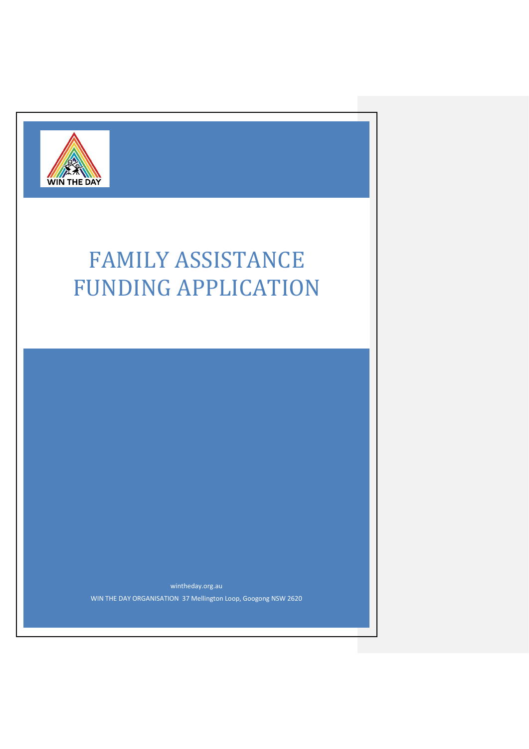

# FAMILY ASSISTANCE FUNDING APPLICATION

wintheday.org.au WIN THE DAY ORGANISATION 37 Mellington Loop, Googong NSW 2620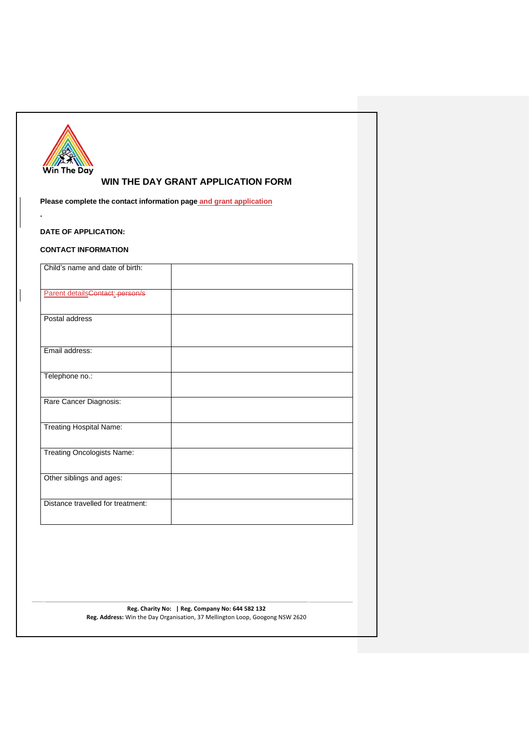

**.**

# **WIN THE DAY GRANT APPLICATION FORM**

**Please complete the contact information page and grant application**

## **DATE OF APPLICATION:**

## **CONTACT INFORMATION**

| Child's name and date of birth:   |  |
|-----------------------------------|--|
| Parent details Contact: person/s  |  |
| Postal address                    |  |
| Email address:                    |  |
| Telephone no.:                    |  |
| Rare Cancer Diagnosis:            |  |
| <b>Treating Hospital Name:</b>    |  |
| <b>Treating Oncologists Name:</b> |  |
| Other siblings and ages:          |  |
| Distance travelled for treatment: |  |

**Reg. Charity No: | Reg. Company No: 644 582 132 Reg. Address:** Win the Day Organisation, 37 Mellington Loop, Googong NSW 2620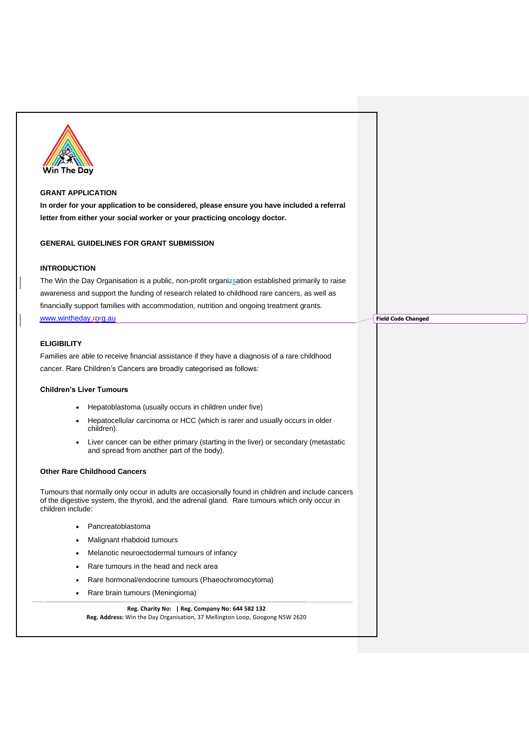

### **GRANT APPLICATION**

**In order for your application to be considered, please ensure you have included a referral letter from either your social worker or your practicing oncology doctor.**

#### **GENERAL GUIDELINES FOR GRANT SUBMISSION**

## **INTRODUCTION**

The Win the Day Organisation is a public, non-profit organizsation established primarily to raise awareness and support the funding of research related to childhood rare cancers, as well as financially support families with accommodation, nutrition and ongoing treatment grants.

# [www.wintheday.rorg.au](http://www.wintheday.org.au/)

#### **ELIGIBILITY**

Families are able to receive financial assistance if they have a diagnosis of a rare childhood cancer. Rare Children's Cancers are broadly categorised as follows:

#### **Children's Liver Tumours**

- Hepatoblastoma (usually occurs in children under five)
- Hepatocellular carcinoma or HCC (which is rarer and usually occurs in older children).
- Liver cancer can be either primary (starting in the liver) or secondary (metastatic and spread from another part of the body).

#### **Other Rare Childhood Cancers**

Tumours that normally only occur in adults are occasionally found in children and include cancers of the digestive system, the thyroid, and the adrenal gland. Rare tumours which only occur in children include:

- Pancreatoblastoma
- Malignant rhabdoid tumours
- Melanotic neuroectodermal tumours of infancy
- Rare tumours in the head and neck area
- Rare hormonal/endocrine tumours (Phaeochromocytoma)
- Rare brain tumours (Meningioma)

**Reg. Charity No: | Reg. Company No: 644 582 132 Reg. Address:** Win the Day Organisation, 37 Mellington Loop, Googong NSW 2620 **Field Code Changed**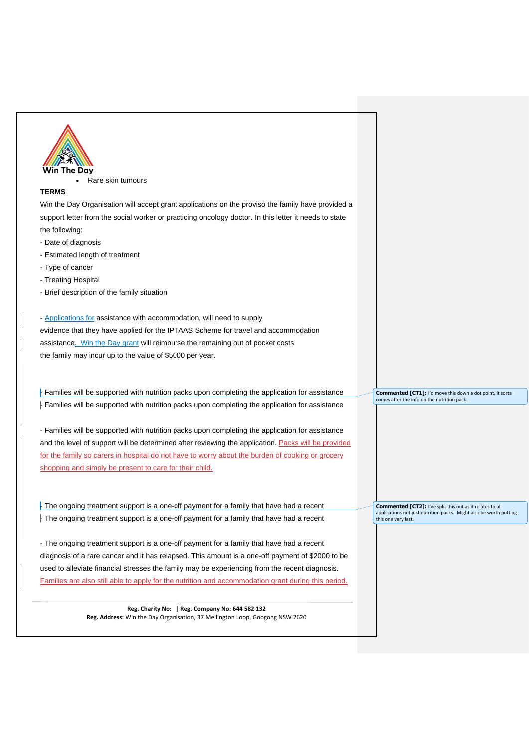

• Rare skin tumours

#### **TERMS**

Win the Day Organisation will accept grant applications on the proviso the family have provided a support letter from the social worker or practicing oncology doctor. In this letter it needs to state the following:

- Date of diagnosis
- Estimated length of treatment
- Type of cancer
- Treating Hospital
- Brief description of the family situation

- Applications for assistance with accommodation, will need to supply evidence that they have applied for the IPTAAS Scheme for travel and accommodation assistance. Win the Day grant will reimburse the remaining out of pocket costs the family may incur up to the value of \$5000 per year.

- Families will be supported with nutrition packs upon completing the application for assistance - Families will be supported with nutrition packs upon completing the application for assistance

- Families will be supported with nutrition packs upon completing the application for assistance and the level of support will be determined after reviewing the application. Packs will be provided for the family so carers in hospital do not have to worry about the burden of cooking or grocery shopping and simply be present to care for their child.

 $\overline{\phantom{a}}$  The ongoing treatment support is a one-off payment for a family that have had a recent - The ongoing treatment support is a one-off payment for a family that have had a recent

- The ongoing treatment support is a one-off payment for a family that have had a recent diagnosis of a rare cancer and it has relapsed. This amount is a one-off payment of \$2000 to be used to alleviate financial stresses the family may be experiencing from the recent diagnosis. Families are also still able to apply for the nutrition and accommodation grant during this period.

> **Reg. Charity No: | Reg. Company No: 644 582 132 Reg. Address:** Win the Day Organisation, 37 Mellington Loop, Googong NSW 2620

**Commented [CT1]:** I'd move this down a dot point, it sorta comes after the info on the nutrition pack.

**Commented [CT2]:** I've split this out as it relates to all applications not just nutrition packs. Might also be worth putting this one very last.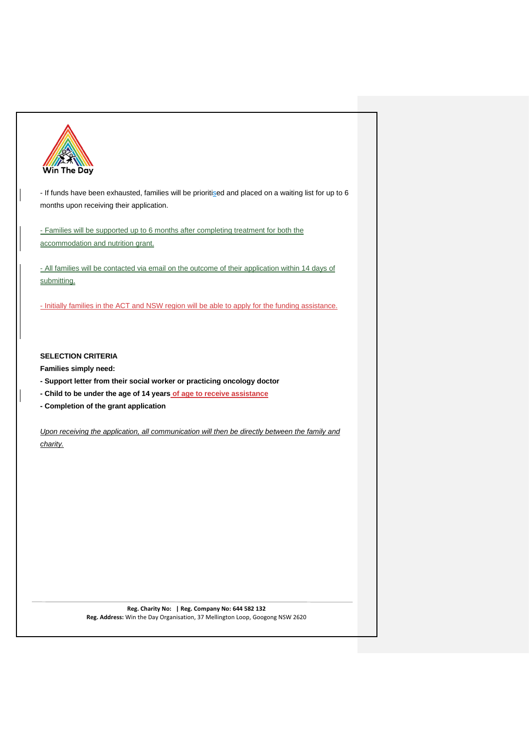

- If funds have been exhausted, families will be prioritised and placed on a waiting list for up to 6 months upon receiving their application.

- Families will be supported up to 6 months after completing treatment for both the accommodation and nutrition grant.

- All families will be contacted via email on the outcome of their application within 14 days of submitting.

- Initially families in the ACT and NSW region will be able to apply for the funding assistance.

# **SELECTION CRITERIA**

**Families simply need:**

- **- Support letter from their social worker or practicing oncology doctor**
- **- Child to be under the age of 14 years of age to receive assistance**
- **- Completion of the grant application**

*Upon receiving the application, all communication will then be directly between the family and charity.* 

> **Reg. Charity No: | Reg. Company No: 644 582 132 Reg. Address:** Win the Day Organisation, 37 Mellington Loop, Googong NSW 2620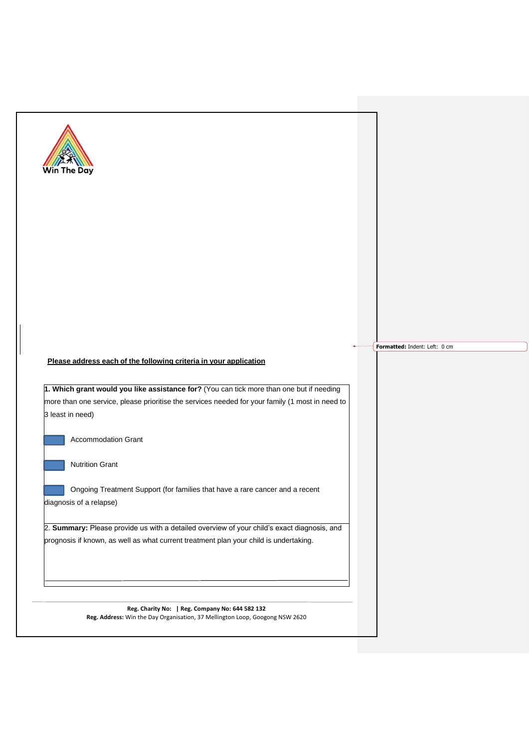| Win The Day                                                                                                                                                                                                                                                      |                               |
|------------------------------------------------------------------------------------------------------------------------------------------------------------------------------------------------------------------------------------------------------------------|-------------------------------|
| Please address each of the following criteria in your application<br>1. Which grant would you like assistance for? (You can tick more than one but if needing<br>more than one service, please prioritise the services needed for your family (1 most in need to | Formatted: Indent: Left: 0 cm |
| 3 least in need)<br>Accommodation Grant                                                                                                                                                                                                                          |                               |
| <b>Nutrition Grant</b><br>Ongoing Treatment Support (for families that have a rare cancer and a recent<br>diagnosis of a relapse)                                                                                                                                |                               |
| 2. Summary: Please provide us with a detailed overview of your child's exact diagnosis, and<br>prognosis if known, as well as what current treatment plan your child is undertaking.                                                                             |                               |
| Reg. Charity No:   Reg. Company No: 644 582 132<br>Reg. Address: Win the Day Organisation, 37 Mellington Loop, Googong NSW 2620                                                                                                                                  |                               |

٦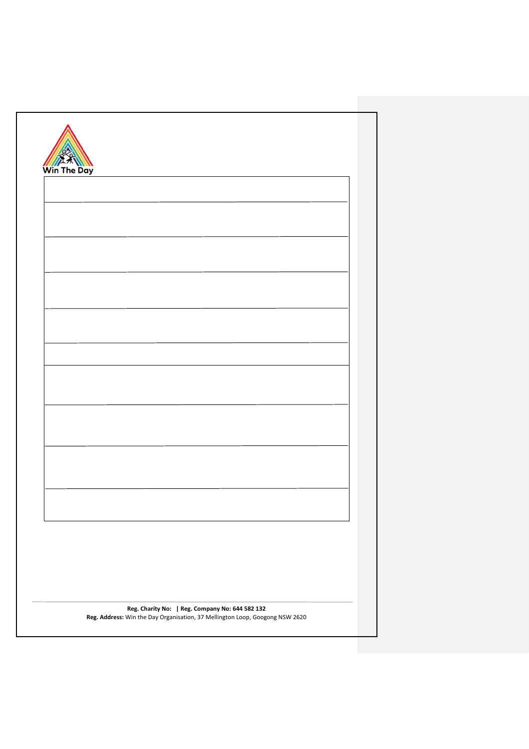| Win The Day |  |  |  |
|-------------|--|--|--|
|             |  |  |  |
|             |  |  |  |
|             |  |  |  |
|             |  |  |  |
|             |  |  |  |
|             |  |  |  |
|             |  |  |  |
|             |  |  |  |
|             |  |  |  |
|             |  |  |  |
|             |  |  |  |
|             |  |  |  |
|             |  |  |  |
|             |  |  |  |
|             |  |  |  |
|             |  |  |  |
|             |  |  |  |
|             |  |  |  |
|             |  |  |  |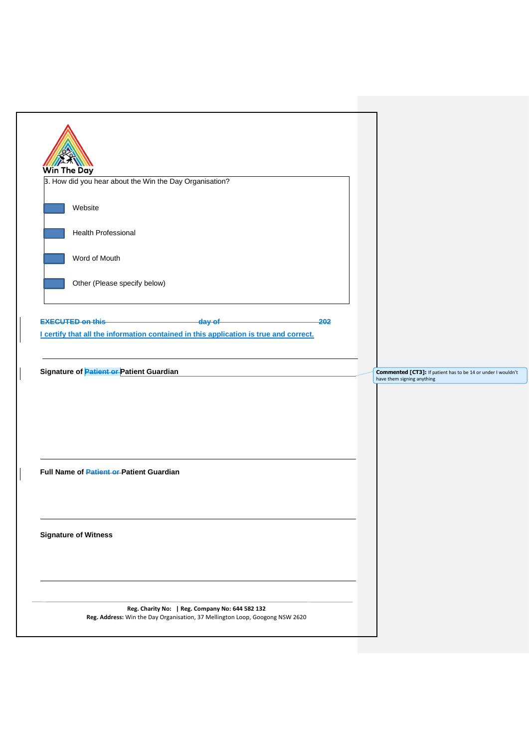| Win The Day                                                                           |                                                                                            |
|---------------------------------------------------------------------------------------|--------------------------------------------------------------------------------------------|
| 3. How did you hear about the Win the Day Organisation?                               |                                                                                            |
| Website                                                                               |                                                                                            |
| <b>Health Professional</b>                                                            |                                                                                            |
| Word of Mouth                                                                         |                                                                                            |
| Other (Please specify below)                                                          |                                                                                            |
| <b>EXECUTED on this</b><br>day of<br>-202                                             |                                                                                            |
| I certify that all the information contained in this application is true and correct. |                                                                                            |
|                                                                                       |                                                                                            |
| Signature of Patient or Patient Guardian                                              | Commented [CT3]: If patient has to be 14 or under I wouldn't<br>have them signing anything |
|                                                                                       |                                                                                            |
|                                                                                       |                                                                                            |
|                                                                                       |                                                                                            |
|                                                                                       |                                                                                            |
|                                                                                       |                                                                                            |
| Full Name of Patient or Patient Guardian                                              |                                                                                            |
|                                                                                       |                                                                                            |
|                                                                                       |                                                                                            |
| <b>Signature of Witness</b>                                                           |                                                                                            |
|                                                                                       |                                                                                            |
|                                                                                       |                                                                                            |
|                                                                                       |                                                                                            |
| Reg. Charity No:   Reg. Company No: 644 582 132                                       |                                                                                            |
| Reg. Address: Win the Day Organisation, 37 Mellington Loop, Googong NSW 2620          |                                                                                            |
|                                                                                       |                                                                                            |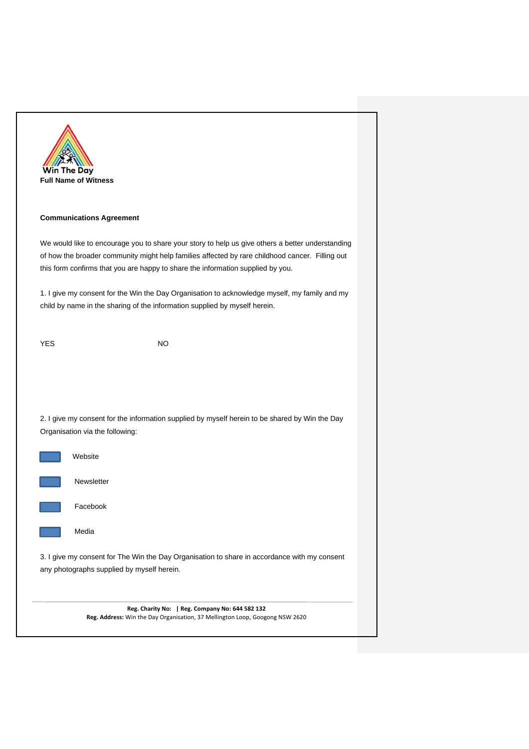

## **Communications Agreement**

We would like to encourage you to share your story to help us give others a better understanding of how the broader community might help families affected by rare childhood cancer. Filling out this form confirms that you are happy to share the information supplied by you.

1. I give my consent for the Win the Day Organisation to acknowledge myself, my family and my child by name in the sharing of the information supplied by myself herein.

YES NO

2. I give my consent for the information supplied by myself herein to be shared by Win the Day Organisation via the following:



3. I give my consent for The Win the Day Organisation to share in accordance with my consent any photographs supplied by myself herein.

> **Reg. Charity No: | Reg. Company No: 644 582 132 Reg. Address:** Win the Day Organisation, 37 Mellington Loop, Googong NSW 2620